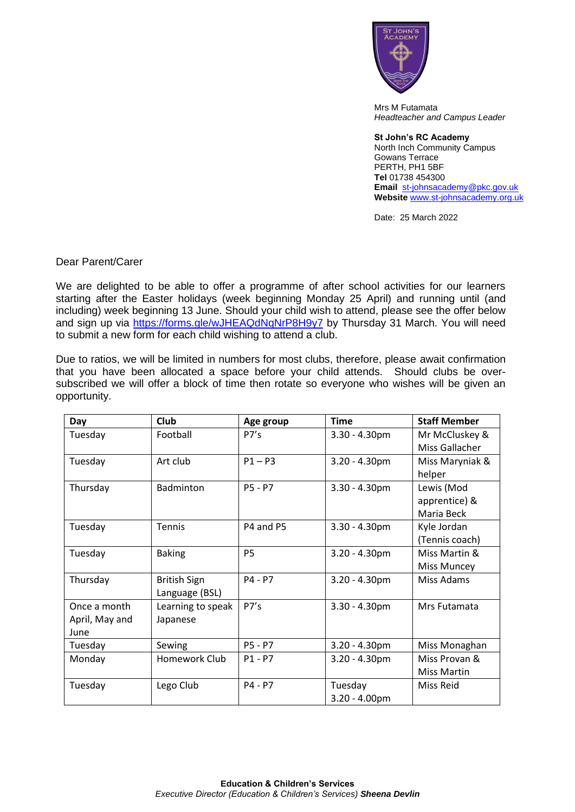

Mrs M Futamata *Headteacher and Campus Leader*

**St John's RC Academy**  North Inch Community Campus Gowans Terrace PERTH, PH1 5BF **Tel** 01738 454300 **Email** [st-johnsacademy@pkc.gov.uk](mailto:st-johnsacademy@pkc.gov.uk) **Website** [www.st-johnsacademy.org.uk](http://www.st-johnsacademy.org.uk/)

Date: 25 March 2022

Dear Parent/Carer

We are delighted to be able to offer a programme of after school activities for our learners starting after the Easter holidays (week beginning Monday 25 April) and running until (and including) week beginning 13 June. Should your child wish to attend, please see the offer below and sign up via<https://forms.gle/wJHEAQdNqNrP8H9y7> by Thursday 31 March. You will need to submit a new form for each child wishing to attend a club.

Due to ratios, we will be limited in numbers for most clubs, therefore, please await confirmation that you have been allocated a space before your child attends. Should clubs be oversubscribed we will offer a block of time then rotate so everyone who wishes will be given an opportunity.

| Day            | <b>Club</b>         | Age group | <b>Time</b>      | <b>Staff Member</b> |
|----------------|---------------------|-----------|------------------|---------------------|
| Tuesday        | Football            | P7's      | $3.30 - 4.30$ pm | Mr McCluskey &      |
|                |                     |           |                  | Miss Gallacher      |
| Tuesday        | Art club            | $P1 - P3$ | $3.20 - 4.30$ pm | Miss Maryniak &     |
|                |                     |           |                  | helper              |
| Thursday       | <b>Badminton</b>    | P5 - P7   | $3.30 - 4.30$ pm | Lewis (Mod          |
|                |                     |           |                  | apprentice) &       |
|                |                     |           |                  | Maria Beck          |
| Tuesday        | Tennis              | P4 and P5 | $3.30 - 4.30$ pm | Kyle Jordan         |
|                |                     |           |                  | (Tennis coach)      |
| Tuesday        | <b>Baking</b>       | <b>P5</b> | $3.20 - 4.30$ pm | Miss Martin &       |
|                |                     |           |                  | Miss Muncey         |
| Thursday       | <b>British Sign</b> | P4 - P7   | $3.20 - 4.30$ pm | Miss Adams          |
|                | Language (BSL)      |           |                  |                     |
| Once a month   | Learning to speak   | P7's      | $3.30 - 4.30$ pm | Mrs Futamata        |
| April, May and | Japanese            |           |                  |                     |
| June           |                     |           |                  |                     |
| Tuesday        | Sewing              | P5 - P7   | $3.20 - 4.30$ pm | Miss Monaghan       |
| Monday         | Homework Club       | $P1 - P7$ | $3.20 - 4.30$ pm | Miss Provan &       |
|                |                     |           |                  | <b>Miss Martin</b>  |
| Tuesday        | Lego Club           | P4 - P7   | Tuesday          | Miss Reid           |
|                |                     |           | $3.20 - 4.00$ pm |                     |